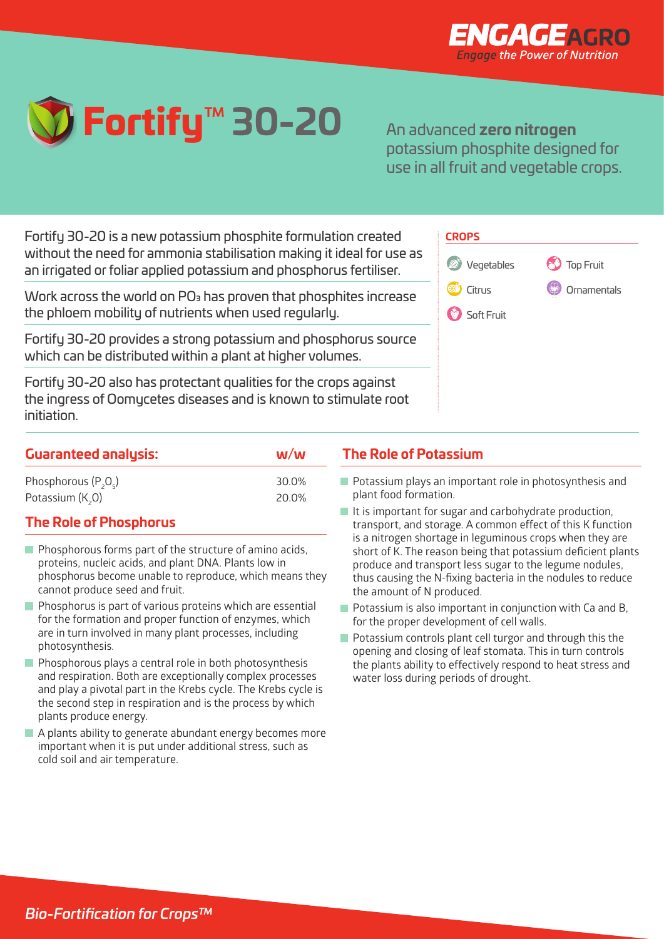



An advanced **zero nitrogen**  potassium phosphite designed for use in all fruit and vegetable crops.

Fortify 30-20 is a new potassium phosphite formulation created without the need for ammonia stabilisation making it ideal for use as an irrigated or foliar applied potassium and phosphorus fertiliser. Root Crops

Work across the world on PO $_{\rm 3}$  has proven that phosphites increase the phloem mobility of nutrients when used regularly.

Fortify 30-20 provides a strong potassium and phosphorus source which can be distributed within a plant at higher volumes. Grass Top Fruit Leafy Salads Potatoes

Fortify 30-20 also has protectant qualities for the crops against the ingress of Oomycetes diseases and is known to stimulate root initiation.

|--|

Fruiting Vegetables Sugar Beet

| <b><i>S</i></b> Vegetables | <b>89</b> Top Fruit |
|----------------------------|---------------------|
| Citrus                     | Comamentals         |
| Soft Fruit                 |                     |

| <b>Guaranteed analysis:</b> | M/M   | <b>The Role of Potassium</b>                            |  |
|-----------------------------|-------|---------------------------------------------------------|--|
| Phosphorous $(P_2O_5)$      | 30.0% | Potassium plays an important role in photosynthesis and |  |
| Potassium (K,O)             | 20.0% | plant food formation.                                   |  |

## **The Role of Phosphorus**

- $\blacksquare$  Phosphorous forms part of the structure of amino acids, proteins, nucleic acids, and plant DNA. Plants low in phosphorus become unable to reproduce, which means they cannot produce seed and fruit.
- $\blacksquare$  Phosphorus is part of various proteins which are essential for the formation and proper function of enzymes, which are in turn involved in many plant processes, including photosynthesis.
- $\blacksquare$  Phosphorous plays a central role in both photosynthesis and respiration. Both are exceptionally complex processes and play a pivotal part in the Krebs cycle. The Krebs cycle is the second step in respiration and is the process by which plants produce energy.
- A plants ability to generate abundant energy becomes more important when it is put under additional stress, such as cold soil and air temperature.
- Potassium plays an important role in photosynthesis and plant food formation.
- It is important for sugar and carbohydrate production, transport, and storage. A common effect of this K function is a nitrogen shortage in leguminous crops when they are short of K. The reason being that potassium deficient plants produce and transport less sugar to the legume nodules, thus causing the N-fixing bacteria in the nodules to reduce the amount of N produced.
- **Potassium is also important in conjunction with Ca and B,** for the proper development of cell walls.
- Potassium controls plant cell turgor and through this the opening and closing of leaf stomata. This in turn controls the plants ability to effectively respond to heat stress and water loss during periods of drought.